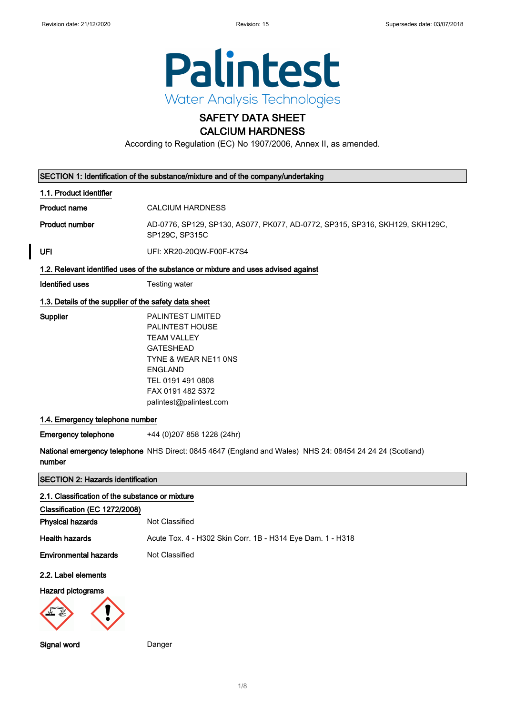

### SAFETY DATA SHEET CALCIUM HARDNESS

According to Regulation (EC) No 1907/2006, Annex II, as amended.

| SECTION 1: Identification of the substance/mixture and of the company/undertaking |                                                                                                                                                                                               |  |  |
|-----------------------------------------------------------------------------------|-----------------------------------------------------------------------------------------------------------------------------------------------------------------------------------------------|--|--|
| 1.1. Product identifier                                                           |                                                                                                                                                                                               |  |  |
| <b>Product name</b>                                                               | <b>CALCIUM HARDNESS</b>                                                                                                                                                                       |  |  |
| <b>Product number</b>                                                             | AD-0776, SP129, SP130, AS077, PK077, AD-0772, SP315, SP316, SKH129, SKH129C,<br>SP129C, SP315C                                                                                                |  |  |
| UFI                                                                               | UFI: XR20-20QW-F00F-K7S4                                                                                                                                                                      |  |  |
|                                                                                   | 1.2. Relevant identified uses of the substance or mixture and uses advised against                                                                                                            |  |  |
| <b>Identified uses</b>                                                            | Testing water                                                                                                                                                                                 |  |  |
| 1.3. Details of the supplier of the safety data sheet                             |                                                                                                                                                                                               |  |  |
| Supplier                                                                          | PALINTEST LIMITED<br>PALINTEST HOUSE<br><b>TEAM VALLEY</b><br><b>GATESHEAD</b><br>TYNE & WEAR NE11 ONS<br><b>ENGLAND</b><br>TEL 0191 491 0808<br>FAX 0191 482 5372<br>palintest@palintest.com |  |  |
| 1.4. Emergency telephone number                                                   |                                                                                                                                                                                               |  |  |
| <b>Emergency telephone</b>                                                        | +44 (0) 207 858 1228 (24hr)                                                                                                                                                                   |  |  |
| number                                                                            | National emergency telephone NHS Direct: 0845 4647 (England and Wales) NHS 24: 08454 24 24 24 (Scotland)                                                                                      |  |  |
| <b>SECTION 2: Hazards identification</b>                                          |                                                                                                                                                                                               |  |  |
| 2.1. Classification of the substance or mixture                                   |                                                                                                                                                                                               |  |  |
| Classification (EC 1272/2008)                                                     |                                                                                                                                                                                               |  |  |
| <b>Physical hazards</b>                                                           | Not Classified                                                                                                                                                                                |  |  |
| <b>Health hazards</b>                                                             | Acute Tox. 4 - H302 Skin Corr. 1B - H314 Eye Dam. 1 - H318                                                                                                                                    |  |  |
| <b>Environmental hazards</b>                                                      | Not Classified                                                                                                                                                                                |  |  |
| 2.2. Label elements                                                               |                                                                                                                                                                                               |  |  |
| <b>Hazard pictograms</b>                                                          |                                                                                                                                                                                               |  |  |
| Signal word                                                                       | Danger                                                                                                                                                                                        |  |  |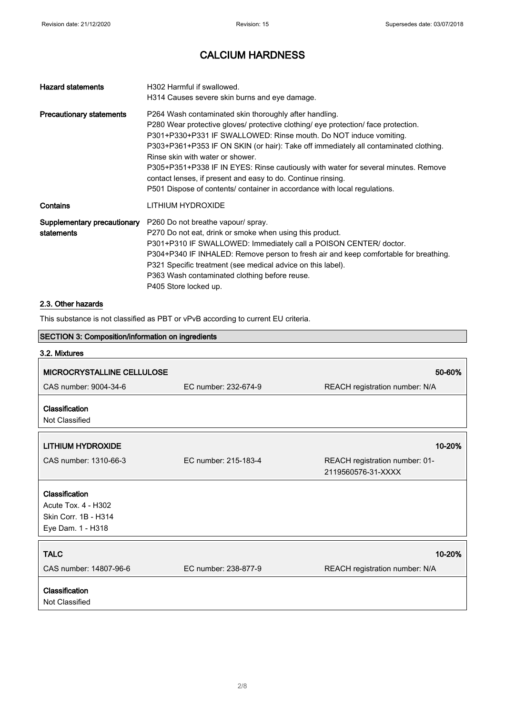| <b>Hazard statements</b>                  | H302 Harmful if swallowed.                                                                                                                                                                                                                                                                                                                                                                                                                                                                          |
|-------------------------------------------|-----------------------------------------------------------------------------------------------------------------------------------------------------------------------------------------------------------------------------------------------------------------------------------------------------------------------------------------------------------------------------------------------------------------------------------------------------------------------------------------------------|
|                                           | H314 Causes severe skin burns and eye damage.                                                                                                                                                                                                                                                                                                                                                                                                                                                       |
| <b>Precautionary statements</b>           | P264 Wash contaminated skin thoroughly after handling.<br>P280 Wear protective gloves/ protective clothing/ eye protection/ face protection.<br>P301+P330+P331 IF SWALLOWED: Rinse mouth. Do NOT induce vomiting.<br>P303+P361+P353 IF ON SKIN (or hair): Take off immediately all contaminated clothing.<br>Rinse skin with water or shower.<br>P305+P351+P338 IF IN EYES: Rinse cautiously with water for several minutes. Remove<br>contact lenses, if present and easy to do. Continue rinsing. |
|                                           | P501 Dispose of contents/ container in accordance with local regulations.                                                                                                                                                                                                                                                                                                                                                                                                                           |
| Contains                                  | LITHIUM HYDROXIDE                                                                                                                                                                                                                                                                                                                                                                                                                                                                                   |
| Supplementary precautionary<br>statements | P260 Do not breathe vapour/ spray.<br>P270 Do not eat, drink or smoke when using this product.<br>P301+P310 IF SWALLOWED: Immediately call a POISON CENTER/ doctor.<br>P304+P340 IF INHALED: Remove person to fresh air and keep comfortable for breathing.<br>P321 Specific treatment (see medical advice on this label).<br>P363 Wash contaminated clothing before reuse.<br>P405 Store locked up.                                                                                                |

### 2.3. Other hazards

This substance is not classified as PBT or vPvB according to current EU criteria.

| SECTION 3: Composition/information on ingredients                                  |                      |                                                      |
|------------------------------------------------------------------------------------|----------------------|------------------------------------------------------|
| 3.2. Mixtures                                                                      |                      |                                                      |
| <b>MICROCRYSTALLINE CELLULOSE</b>                                                  |                      | 50-60%                                               |
| CAS number: 9004-34-6                                                              | EC number: 232-674-9 | REACH registration number: N/A                       |
| Classification<br>Not Classified                                                   |                      |                                                      |
| <b>LITHIUM HYDROXIDE</b>                                                           |                      | 10-20%                                               |
| CAS number: 1310-66-3                                                              | EC number: 215-183-4 | REACH registration number: 01-<br>2119560576-31-XXXX |
| Classification<br>Acute Tox. 4 - H302<br>Skin Corr. 1B - H314<br>Eye Dam. 1 - H318 |                      |                                                      |
|                                                                                    |                      |                                                      |
| <b>TALC</b>                                                                        |                      | 10-20%                                               |
| CAS number: 14807-96-6                                                             | EC number: 238-877-9 | REACH registration number: N/A                       |
| Classification<br>Not Classified                                                   |                      |                                                      |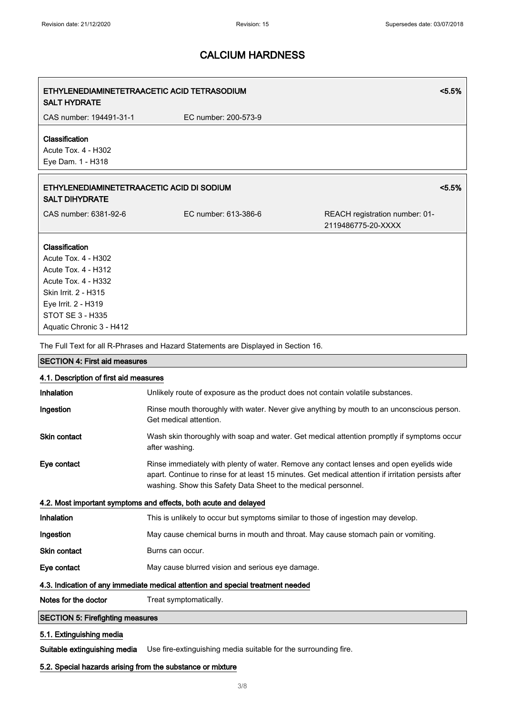| ETHYLENEDIAMINETETRAACETIC ACID TETRASODIUM<br>$< 5.5\%$<br><b>SALT HYDRATE</b>                                                                                                                                |                                                                                    |                                                                                                                                                                                                 |
|----------------------------------------------------------------------------------------------------------------------------------------------------------------------------------------------------------------|------------------------------------------------------------------------------------|-------------------------------------------------------------------------------------------------------------------------------------------------------------------------------------------------|
| CAS number: 194491-31-1                                                                                                                                                                                        | EC number: 200-573-9                                                               |                                                                                                                                                                                                 |
| Classification<br><b>Acute Tox. 4 - H302</b><br>Eye Dam. 1 - H318                                                                                                                                              |                                                                                    |                                                                                                                                                                                                 |
| ETHYLENEDIAMINETETRAACETIC ACID DI SODIUM<br><b>SALT DIHYDRATE</b>                                                                                                                                             |                                                                                    | <5.5%                                                                                                                                                                                           |
| CAS number: 6381-92-6                                                                                                                                                                                          | EC number: 613-386-6                                                               | REACH registration number: 01-<br>2119486775-20-XXXX                                                                                                                                            |
| Classification<br><b>Acute Tox. 4 - H302</b><br><b>Acute Tox. 4 - H312</b><br><b>Acute Tox. 4 - H332</b><br>Skin Irrit. 2 - H315<br>Eye Irrit. 2 - H319<br><b>STOT SE 3 - H335</b><br>Aquatic Chronic 3 - H412 |                                                                                    |                                                                                                                                                                                                 |
|                                                                                                                                                                                                                | The Full Text for all R-Phrases and Hazard Statements are Displayed in Section 16. |                                                                                                                                                                                                 |
| <b>SECTION 4: First aid measures</b>                                                                                                                                                                           |                                                                                    |                                                                                                                                                                                                 |
| 4.1. Description of first aid measures                                                                                                                                                                         |                                                                                    |                                                                                                                                                                                                 |
| Inhalation                                                                                                                                                                                                     | Unlikely route of exposure as the product does not contain volatile substances.    |                                                                                                                                                                                                 |
| Ingestion                                                                                                                                                                                                      | Get medical attention.                                                             | Rinse mouth thoroughly with water. Never give anything by mouth to an unconscious person.                                                                                                       |
| <b>Skin contact</b>                                                                                                                                                                                            | after washing.                                                                     | Wash skin thoroughly with soap and water. Get medical attention promptly if symptoms occur                                                                                                      |
| Eye contact                                                                                                                                                                                                    | washing. Show this Safety Data Sheet to the medical personnel.                     | Rinse immediately with plenty of water. Remove any contact lenses and open eyelids wide<br>apart. Continue to rinse for at least 15 minutes. Get medical attention if irritation persists after |
|                                                                                                                                                                                                                | 4.2. Most important symptoms and effects, both acute and delayed                   |                                                                                                                                                                                                 |
| Inhalation                                                                                                                                                                                                     | This is unlikely to occur but symptoms similar to those of ingestion may develop.  |                                                                                                                                                                                                 |
| Ingestion                                                                                                                                                                                                      |                                                                                    | May cause chemical burns in mouth and throat. May cause stomach pain or vomiting.                                                                                                               |
| <b>Skin contact</b>                                                                                                                                                                                            | Burns can occur.                                                                   |                                                                                                                                                                                                 |
| Eye contact                                                                                                                                                                                                    | May cause blurred vision and serious eye damage.                                   |                                                                                                                                                                                                 |
|                                                                                                                                                                                                                | 4.3. Indication of any immediate medical attention and special treatment needed    |                                                                                                                                                                                                 |
| Notes for the doctor                                                                                                                                                                                           | Treat symptomatically.                                                             |                                                                                                                                                                                                 |
| <b>SECTION 5: Firefighting measures</b>                                                                                                                                                                        |                                                                                    |                                                                                                                                                                                                 |
| 5.1. Extinguishing media                                                                                                                                                                                       |                                                                                    |                                                                                                                                                                                                 |

Suitable extinguishing media Use fire-extinguishing media suitable for the surrounding fire.

### 5.2. Special hazards arising from the substance or mixture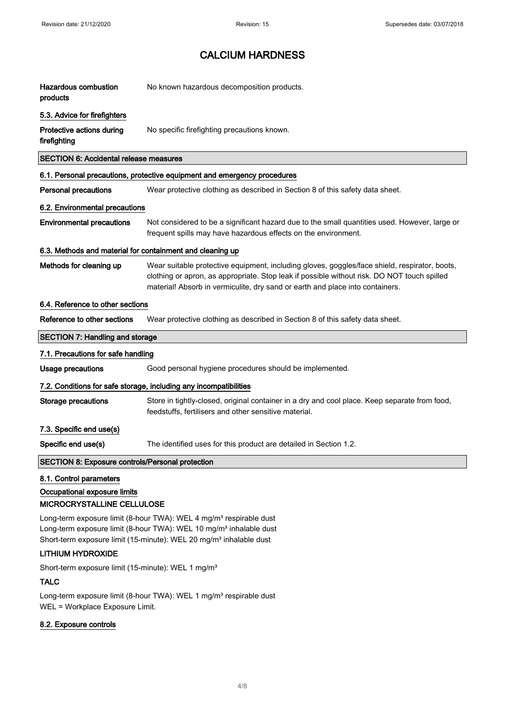| <b>Hazardous combustion</b><br>products                                                                                                                                                                                                            | No known hazardous decomposition products.                                                                                                                                                                                                                                    |
|----------------------------------------------------------------------------------------------------------------------------------------------------------------------------------------------------------------------------------------------------|-------------------------------------------------------------------------------------------------------------------------------------------------------------------------------------------------------------------------------------------------------------------------------|
| 5.3. Advice for firefighters                                                                                                                                                                                                                       |                                                                                                                                                                                                                                                                               |
| Protective actions during<br>firefighting                                                                                                                                                                                                          | No specific firefighting precautions known.                                                                                                                                                                                                                                   |
| <b>SECTION 6: Accidental release measures</b>                                                                                                                                                                                                      |                                                                                                                                                                                                                                                                               |
|                                                                                                                                                                                                                                                    | 6.1. Personal precautions, protective equipment and emergency procedures                                                                                                                                                                                                      |
| <b>Personal precautions</b>                                                                                                                                                                                                                        | Wear protective clothing as described in Section 8 of this safety data sheet.                                                                                                                                                                                                 |
| 6.2. Environmental precautions                                                                                                                                                                                                                     |                                                                                                                                                                                                                                                                               |
| <b>Environmental precautions</b>                                                                                                                                                                                                                   | Not considered to be a significant hazard due to the small quantities used. However, large or<br>frequent spills may have hazardous effects on the environment.                                                                                                               |
| 6.3. Methods and material for containment and cleaning up                                                                                                                                                                                          |                                                                                                                                                                                                                                                                               |
| Methods for cleaning up                                                                                                                                                                                                                            | Wear suitable protective equipment, including gloves, goggles/face shield, respirator, boots,<br>clothing or apron, as appropriate. Stop leak if possible without risk. DO NOT touch spilled<br>material! Absorb in vermiculite, dry sand or earth and place into containers. |
| 6.4. Reference to other sections                                                                                                                                                                                                                   |                                                                                                                                                                                                                                                                               |
| Reference to other sections                                                                                                                                                                                                                        | Wear protective clothing as described in Section 8 of this safety data sheet.                                                                                                                                                                                                 |
| <b>SECTION 7: Handling and storage</b>                                                                                                                                                                                                             |                                                                                                                                                                                                                                                                               |
| 7.1. Precautions for safe handling                                                                                                                                                                                                                 |                                                                                                                                                                                                                                                                               |
| <b>Usage precautions</b>                                                                                                                                                                                                                           | Good personal hygiene procedures should be implemented.                                                                                                                                                                                                                       |
|                                                                                                                                                                                                                                                    | 7.2. Conditions for safe storage, including any incompatibilities                                                                                                                                                                                                             |
| <b>Storage precautions</b>                                                                                                                                                                                                                         | Store in tightly-closed, original container in a dry and cool place. Keep separate from food,<br>feedstuffs, fertilisers and other sensitive material.                                                                                                                        |
| 7.3. Specific end use(s)                                                                                                                                                                                                                           |                                                                                                                                                                                                                                                                               |
| Specific end use(s)                                                                                                                                                                                                                                | The identified uses for this product are detailed in Section 1.2.                                                                                                                                                                                                             |
| <b>SECTION 8: Exposure controls/Personal protection</b>                                                                                                                                                                                            |                                                                                                                                                                                                                                                                               |
| 8.1. Control parameters                                                                                                                                                                                                                            |                                                                                                                                                                                                                                                                               |
| Occupational exposure limits                                                                                                                                                                                                                       |                                                                                                                                                                                                                                                                               |
| MICROCRYSTALLINE CELLULOSE                                                                                                                                                                                                                         |                                                                                                                                                                                                                                                                               |
| Long-term exposure limit (8-hour TWA): WEL 4 mg/m <sup>3</sup> respirable dust<br>Long-term exposure limit (8-hour TWA): WEL 10 mg/m <sup>3</sup> inhalable dust<br>Short-term exposure limit (15-minute): WEL 20 mg/m <sup>3</sup> inhalable dust |                                                                                                                                                                                                                                                                               |
| <b>LITHIUM HYDROXIDE</b>                                                                                                                                                                                                                           |                                                                                                                                                                                                                                                                               |
| Short-term exposure limit (15-minute): WEL 1 mg/m <sup>3</sup>                                                                                                                                                                                     |                                                                                                                                                                                                                                                                               |
| <b>TALC</b>                                                                                                                                                                                                                                        |                                                                                                                                                                                                                                                                               |
| WEL = Workplace Exposure Limit.                                                                                                                                                                                                                    | Long-term exposure limit (8-hour TWA): WEL 1 mg/m <sup>3</sup> respirable dust                                                                                                                                                                                                |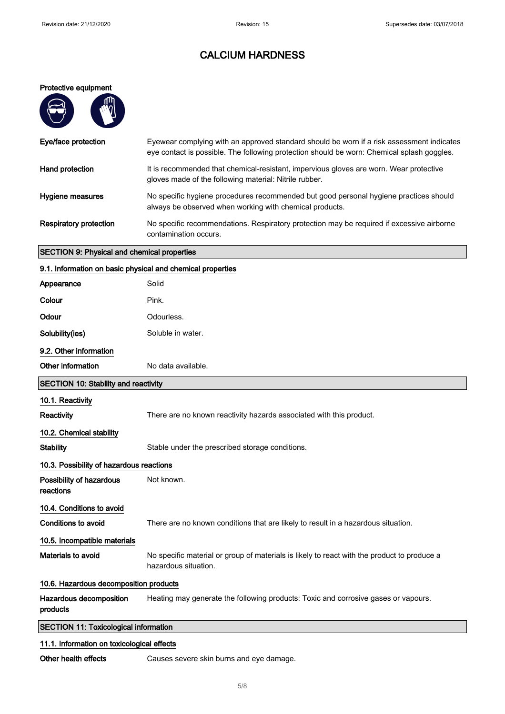### Protective equipment

| Eye/face protection                                        | Eyewear complying with an approved standard should be worn if a risk assessment indicates<br>eye contact is possible. The following protection should be worn: Chemical splash goggles. |
|------------------------------------------------------------|-----------------------------------------------------------------------------------------------------------------------------------------------------------------------------------------|
| Hand protection                                            | It is recommended that chemical-resistant, impervious gloves are worn. Wear protective<br>gloves made of the following material: Nitrile rubber.                                        |
| Hygiene measures                                           | No specific hygiene procedures recommended but good personal hygiene practices should<br>always be observed when working with chemical products.                                        |
| <b>Respiratory protection</b>                              | No specific recommendations. Respiratory protection may be required if excessive airborne<br>contamination occurs.                                                                      |
| <b>SECTION 9: Physical and chemical properties</b>         |                                                                                                                                                                                         |
| 9.1. Information on basic physical and chemical properties |                                                                                                                                                                                         |
| Appearance                                                 | Solid                                                                                                                                                                                   |
| Colour                                                     | Pink.                                                                                                                                                                                   |
| Odour                                                      | Odourless.                                                                                                                                                                              |
| Solubility(ies)                                            | Soluble in water.                                                                                                                                                                       |
| 9.2. Other information                                     |                                                                                                                                                                                         |
| Other information                                          | No data available.                                                                                                                                                                      |
| <b>SECTION 10: Stability and reactivity</b>                |                                                                                                                                                                                         |
| 10.1. Reactivity                                           |                                                                                                                                                                                         |
| Reactivity                                                 | There are no known reactivity hazards associated with this product.                                                                                                                     |
| 10.2. Chemical stability                                   |                                                                                                                                                                                         |
|                                                            |                                                                                                                                                                                         |
| <b>Stability</b>                                           | Stable under the prescribed storage conditions.                                                                                                                                         |
| 10.3. Possibility of hazardous reactions                   |                                                                                                                                                                                         |
| Possibility of hazardous<br>reactions                      | Not known.                                                                                                                                                                              |
| 10.4. Conditions to avoid                                  |                                                                                                                                                                                         |
| Conditions to avoid                                        | There are no known conditions that are likely to result in a hazardous situation.                                                                                                       |
| 10.5. Incompatible materials                               |                                                                                                                                                                                         |
| Materials to avoid                                         | No specific material or group of materials is likely to react with the product to produce a<br>hazardous situation.                                                                     |
| 10.6. Hazardous decomposition products                     |                                                                                                                                                                                         |
| Hazardous decomposition<br>products                        | Heating may generate the following products: Toxic and corrosive gases or vapours.                                                                                                      |
| <b>SECTION 11: Toxicological information</b>               |                                                                                                                                                                                         |

Other health effects Causes severe skin burns and eye damage.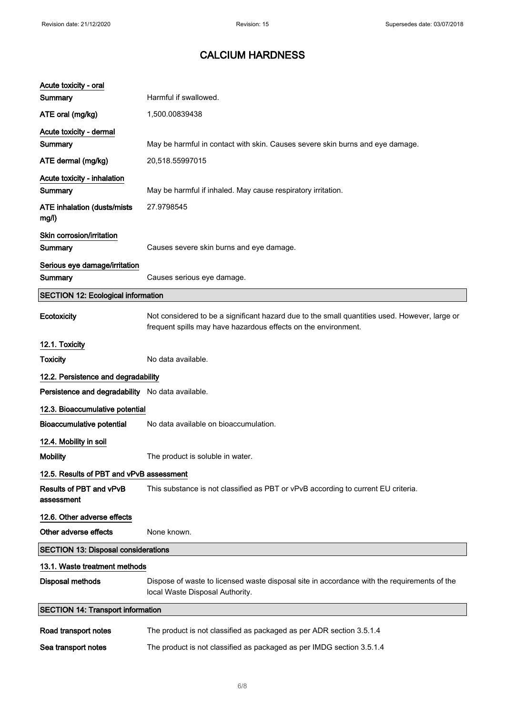| Acute toxicity - oral                            |                                                                                                                                                                 |
|--------------------------------------------------|-----------------------------------------------------------------------------------------------------------------------------------------------------------------|
| Summary                                          | Harmful if swallowed.                                                                                                                                           |
| ATE oral (mg/kg)                                 | 1,500.00839438                                                                                                                                                  |
| Acute toxicity - dermal                          |                                                                                                                                                                 |
| <b>Summary</b>                                   | May be harmful in contact with skin. Causes severe skin burns and eye damage.                                                                                   |
| ATE dermal (mg/kg)                               | 20,518.55997015                                                                                                                                                 |
| Acute toxicity - inhalation                      |                                                                                                                                                                 |
| Summary                                          | May be harmful if inhaled. May cause respiratory irritation.                                                                                                    |
| <b>ATE inhalation (dusts/mists)</b><br>mg/l)     | 27.9798545                                                                                                                                                      |
| Skin corrosion/irritation<br>Summary             | Causes severe skin burns and eye damage.                                                                                                                        |
| Serious eye damage/irritation                    |                                                                                                                                                                 |
| Summary                                          | Causes serious eye damage.                                                                                                                                      |
| <b>SECTION 12: Ecological information</b>        |                                                                                                                                                                 |
| Ecotoxicity                                      | Not considered to be a significant hazard due to the small quantities used. However, large or<br>frequent spills may have hazardous effects on the environment. |
| 12.1. Toxicity                                   |                                                                                                                                                                 |
| <b>Toxicity</b>                                  | No data available.                                                                                                                                              |
| 12.2. Persistence and degradability              |                                                                                                                                                                 |
| Persistence and degradability No data available. |                                                                                                                                                                 |
| 12.3. Bioaccumulative potential                  |                                                                                                                                                                 |
|                                                  |                                                                                                                                                                 |
| Bioaccumulative potential                        | No data available on bioaccumulation.                                                                                                                           |
| 12.4. Mobility in soil                           |                                                                                                                                                                 |
| <b>Mobility</b>                                  | The product is soluble in water.                                                                                                                                |
| 12.5. Results of PBT and vPvB assessment         |                                                                                                                                                                 |
| Results of PBT and vPvB<br>assessment            | This substance is not classified as PBT or vPvB according to current EU criteria.                                                                               |
| 12.6. Other adverse effects                      |                                                                                                                                                                 |
| Other adverse effects                            | None known.                                                                                                                                                     |
| <b>SECTION 13: Disposal considerations</b>       |                                                                                                                                                                 |
| 13.1. Waste treatment methods                    |                                                                                                                                                                 |
| <b>Disposal methods</b>                          | Dispose of waste to licensed waste disposal site in accordance with the requirements of the<br>local Waste Disposal Authority.                                  |
| <b>SECTION 14: Transport information</b>         |                                                                                                                                                                 |
| Road transport notes                             | The product is not classified as packaged as per ADR section 3.5.1.4                                                                                            |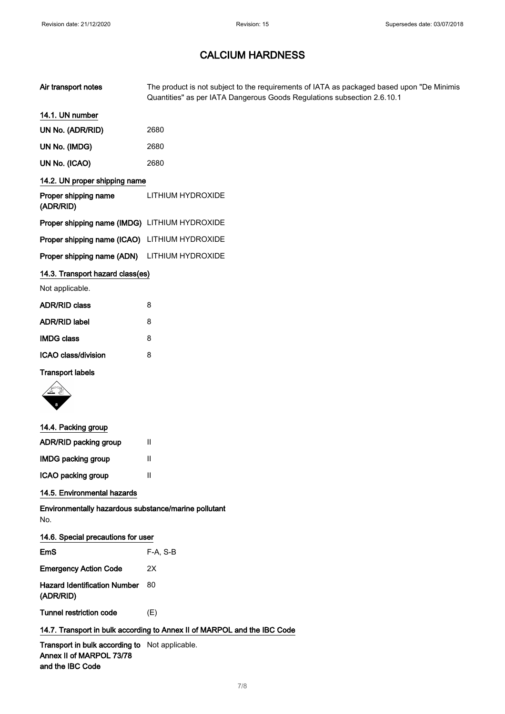| Air transport notes                                                                            | The product is not subject to the requirements of IATA as packaged based upon "De Minimis<br>Quantities" as per IATA Dangerous Goods Regulations subsection 2.6.10.1 |  |
|------------------------------------------------------------------------------------------------|----------------------------------------------------------------------------------------------------------------------------------------------------------------------|--|
| 14.1. UN number                                                                                |                                                                                                                                                                      |  |
| UN No. (ADR/RID)                                                                               | 2680                                                                                                                                                                 |  |
| UN No. (IMDG)                                                                                  | 2680                                                                                                                                                                 |  |
| UN No. (ICAO)                                                                                  | 2680                                                                                                                                                                 |  |
| 14.2. UN proper shipping name                                                                  |                                                                                                                                                                      |  |
| Proper shipping name<br>(ADR/RID)                                                              | LITHIUM HYDROXIDE                                                                                                                                                    |  |
| Proper shipping name (IMDG) LITHIUM HYDROXIDE                                                  |                                                                                                                                                                      |  |
| Proper shipping name (ICAO) LITHIUM HYDROXIDE                                                  |                                                                                                                                                                      |  |
| Proper shipping name (ADN)                                                                     | LITHIUM HYDROXIDE                                                                                                                                                    |  |
| 14.3. Transport hazard class(es)                                                               |                                                                                                                                                                      |  |
| Not applicable.                                                                                |                                                                                                                                                                      |  |
| <b>ADR/RID class</b>                                                                           | 8                                                                                                                                                                    |  |
| <b>ADR/RID label</b>                                                                           | 8                                                                                                                                                                    |  |
| <b>IMDG class</b>                                                                              | 8                                                                                                                                                                    |  |
| ICAO class/division                                                                            | 8                                                                                                                                                                    |  |
| <b>Transport labels</b>                                                                        |                                                                                                                                                                      |  |
| 14.4. Packing group                                                                            |                                                                                                                                                                      |  |
| ADR/RID packing group                                                                          | Ш                                                                                                                                                                    |  |
| IMDG packing group                                                                             | $\ensuremath{\mathsf{II}}$                                                                                                                                           |  |
| ICAO packing group                                                                             | $\mathbf{H}$                                                                                                                                                         |  |
| 14.5. Environmental hazards                                                                    |                                                                                                                                                                      |  |
| Environmentally hazardous substance/marine pollutant<br>No.                                    |                                                                                                                                                                      |  |
| 14.6. Special precautions for user                                                             |                                                                                                                                                                      |  |
| <b>EmS</b>                                                                                     | F-A, S-B                                                                                                                                                             |  |
| <b>Emergency Action Code</b>                                                                   | 2X                                                                                                                                                                   |  |
| <b>Hazard Identification Number</b><br>(ADR/RID)                                               | 80                                                                                                                                                                   |  |
| <b>Tunnel restriction code</b>                                                                 | (E)                                                                                                                                                                  |  |
| 14.7. Transport in bulk according to Annex II of MARPOL and the IBC Code                       |                                                                                                                                                                      |  |
| Transport in bulk according to Not applicable.<br>Annex II of MARPOL 73/78<br>and the IBC Code |                                                                                                                                                                      |  |